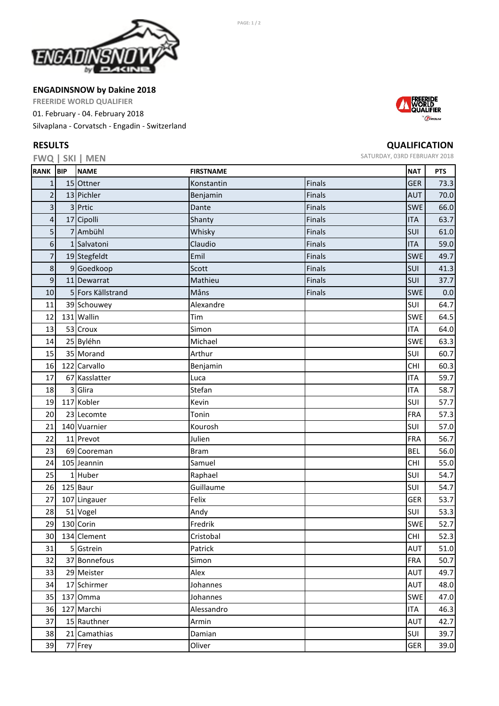

**ENGADINSNOW by Dakine 2018**

**FREERIDE WORLD QUALIFIER**

01. February ‐ 04. February 2018

Silvaplana ‐ Corvatsch ‐ Engadin ‐ Switzerland

## **RESULTS**

**FWQ | SKI | MEN**



## **QUALIFICATION**

SATURDAY, 03RD FEBRUARY 2018

|                  | <b>FWY SNI WEN</b> |                  |               |            |            |
|------------------|--------------------|------------------|---------------|------------|------------|
| RANK BIP         | <b>NAME</b>        | <b>FIRSTNAME</b> |               | <b>NAT</b> | <b>PTS</b> |
| $\mathbf{1}$     | 15 Ottner          | Konstantin       | Finals        | <b>GER</b> | 73.3       |
| $\overline{2}$   | 13 Pichler         | Benjamin         | Finals        | <b>AUT</b> | 70.0       |
| 3                | 3 Prtic            | Dante            | Finals        | <b>SWE</b> | 66.0       |
| $\sqrt{4}$       | 17 Cipolli         | Shanty           | Finals        | <b>ITA</b> | 63.7       |
| 5                | 7 Ambühl           | Whisky           | Finals        | SUI        | 61.0       |
| 6                | 1 Salvatoni        | Claudio          | Finals        | <b>ITA</b> | 59.0       |
| 7                | 19 Stegfeldt       | Emil             | Finals        | <b>SWE</b> | 49.7       |
| 8                | 9 Goedkoop         | Scott            | Finals        | SUI        | 41.3       |
| $\boldsymbol{9}$ | 11 Dewarrat        | Mathieu          | <b>Finals</b> | SUI        | 37.7       |
| 10               | 5 Fors Källstrand  | Måns             | Finals        | <b>SWE</b> | 0.0        |
| 11               | 39 Schouwey        | Alexandre        |               | SUI        | 64.7       |
| 12               | 131 Wallin         | Tim              |               | <b>SWE</b> | 64.5       |
| 13               | 53 Croux           | Simon            |               | <b>ITA</b> | 64.0       |
| 14               | 25 Byléhn          | Michael          |               | <b>SWE</b> | 63.3       |
| 15               | 35 Morand          | Arthur           |               | SUI        | 60.7       |
| 16               | 122 Carvallo       | Benjamin         |               | <b>CHI</b> | 60.3       |
| 17               | 67 Kasslatter      | Luca             |               | <b>ITA</b> | 59.7       |
| 18               | 3 Glira            | Stefan           |               | <b>ITA</b> | 58.7       |
| 19               | 117 Kobler         | Kevin            |               | SUI        | 57.7       |
| 20               | 23 Lecomte         | Tonin            |               | <b>FRA</b> | 57.3       |
| 21               | 140 Vuarnier       | Kourosh          |               | SUI        | 57.0       |
| 22               | 11 Prevot          | Julien           |               | <b>FRA</b> | 56.7       |
| 23               | 69 Cooreman        | <b>Bram</b>      |               | <b>BEL</b> | 56.0       |
| 24               | 105 Jeannin        | Samuel           |               | <b>CHI</b> | 55.0       |
| 25               | 1 Huber            | Raphael          |               | SUI        | 54.7       |
| 26               | 125 Baur           | Guillaume        |               | SUI        | 54.7       |
| 27               | 107 Lingauer       | Felix            |               | GER        | 53.7       |
| 28               | 51 Vogel           | Andy             |               | SUI        | 53.3       |
| 29               | 130 Corin          | Fredrik          |               | <b>SWE</b> | 52.7       |
| 30 <sub>1</sub>  | 134 Clement        | Cristobal        |               | CHI        | 52.3       |
| 31               | 5 Gstrein          | Patrick          |               | <b>AUT</b> | 51.0       |
| 32               | 37 Bonnefous       | Simon            |               | <b>FRA</b> | 50.7       |
| 33               | 29 Meister         | Alex             |               | <b>AUT</b> | 49.7       |
| 34               | 17 Schirmer        | Johannes         |               | <b>AUT</b> | 48.0       |
| 35               | 137 Omma           | Johannes         |               | <b>SWE</b> | 47.0       |
| 36               | 127 Marchi         | Alessandro       |               | <b>ITA</b> | 46.3       |
| 37               | 15 Rauthner        | Armin            |               | <b>AUT</b> | 42.7       |
| 38               | 21 Camathias       | Damian           |               | SUI        | 39.7       |
| 39               | 77 Frey            | Oliver           |               | GER        | 39.0       |